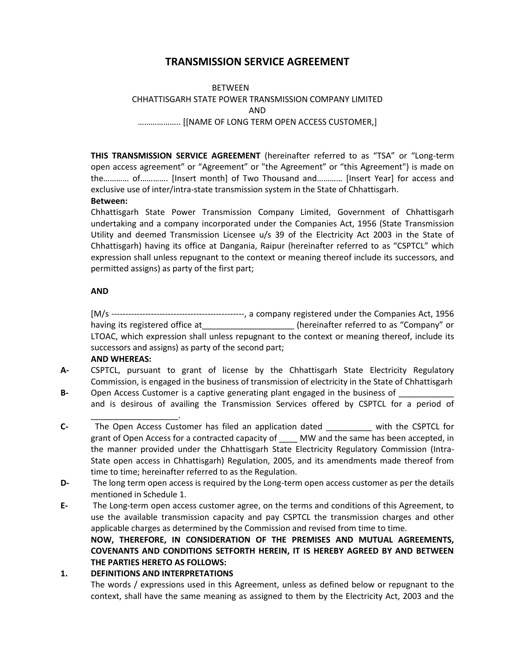# **TRANSMISSION SERVICE AGREEMENT**

## BETWEEN CHHATTISGARH STATE POWER TRANSMISSION COMPANY LIMITED AND ……………….. [[NAME OF LONG TERM OPEN ACCESS CUSTOMER,]

**THIS TRANSMISSION SERVICE AGREEMENT** (hereinafter referred to as "TSA" or "Long-term open access agreement" or "Agreement" or "the Agreement" or "this Agreement") is made on the………… of…………. [Insert month] of Two Thousand and………… [Insert Year] for access and exclusive use of inter/intra-state transmission system in the State of Chhattisgarh.

## **Between:**

Chhattisgarh State Power Transmission Company Limited, Government of Chhattisgarh undertaking and a company incorporated under the Companies Act, 1956 (State Transmission Utility and deemed Transmission Licensee u/s 39 of the Electricity Act 2003 in the State of Chhattisgarh) having its office at Dangania, Raipur (hereinafter referred to as "CSPTCL" which expression shall unless repugnant to the context or meaning thereof include its successors, and permitted assigns) as party of the first part;

## **AND**

[M/s -----------------------------------------------, a company registered under the Companies Act, 1956 having its registered office at  $\qquad \qquad$  (hereinafter referred to as "Company" or LTOAC, which expression shall unless repugnant to the context or meaning thereof, include its successors and assigns) as party of the second part;

## **AND WHEREAS:**

- **A-** CSPTCL, pursuant to grant of license by the Chhattisgarh State Electricity Regulatory Commission, is engaged in the business of transmission of electricity in the State of Chhattisgarh
- **B-** Open Access Customer is a captive generating plant engaged in the business of \_\_\_\_\_\_\_\_\_\_\_\_ and is desirous of availing the Transmission Services offered by CSPTCL for a period of
- \_\_\_\_\_\_\_\_\_\_\_\_\_\_\_\_\_\_\_. **C-** The Open Access Customer has filed an application dated \_\_\_\_\_\_\_\_\_\_ with the CSPTCL for grant of Open Access for a contracted capacity of MW and the same has been accepted, in the manner provided under the Chhattisgarh State Electricity Regulatory Commission (Intra-State open access in Chhattisgarh) Regulation, 2005, and its amendments made thereof from time to time; hereinafter referred to as the Regulation.
- **D-** The long term open access is required by the Long-term open access customer as per the details mentioned in Schedule 1.
- **E-** The Long-term open access customer agree, on the terms and conditions of this Agreement, to use the available transmission capacity and pay CSPTCL the transmission charges and other applicable charges as determined by the Commission and revised from time to time. **NOW, THEREFORE, IN CONSIDERATION OF THE PREMISES AND MUTUAL AGREEMENTS, COVENANTS AND CONDITIONS SETFORTH HEREIN, IT IS HEREBY AGREED BY AND BETWEEN THE PARTIES HERETO AS FOLLOWS:**

## **1. DEFINITIONS AND INTERPRETATIONS**

The words / expressions used in this Agreement, unless as defined below or repugnant to the context, shall have the same meaning as assigned to them by the Electricity Act, 2003 and the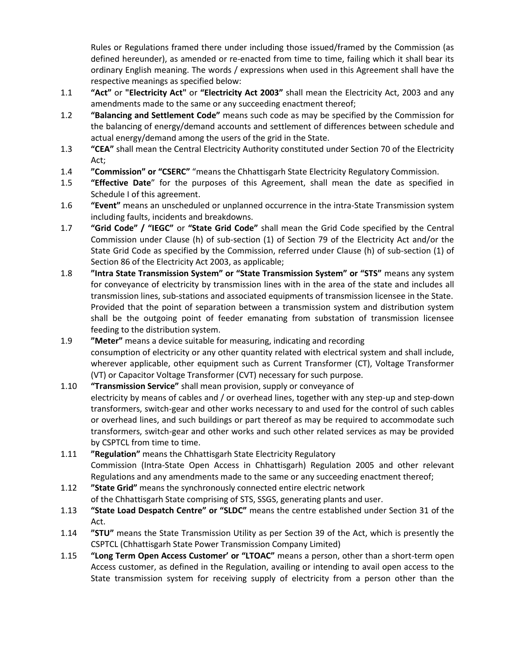Rules or Regulations framed there under including those issued/framed by the Commission (as defined hereunder), as amended or re-enacted from time to time, failing which it shall bear its ordinary English meaning. The words / expressions when used in this Agreement shall have the respective meanings as specified below:

- 1.1 **"Act"** or **"Electricity Act"** or **"Electricity Act 2003"** shall mean the Electricity Act, 2003 and any amendments made to the same or any succeeding enactment thereof;
- 1.2 **"Balancing and Settlement Code"** means such code as may be specified by the Commission for the balancing of energy/demand accounts and settlement of differences between schedule and actual energy/demand among the users of the grid in the State.
- 1.3 **"CEA"** shall mean the Central Electricity Authority constituted under Section 70 of the Electricity Act;
- 1.4 **"Commission" or "CSERC"** "means the Chhattisgarh State Electricity Regulatory Commission.
- 1.5 **"Effective Date**" for the purposes of this Agreement, shall mean the date as specified in Schedule I of this agreement.
- 1.6 **"Event"** means an unscheduled or unplanned occurrence in the intra-State Transmission system including faults, incidents and breakdowns.
- 1.7 **"Grid Code" / "IEGC"** or **"State Grid Code"** shall mean the Grid Code specified by the Central Commission under Clause (h) of sub-section (1) of Section 79 of the Electricity Act and/or the State Grid Code as specified by the Commission, referred under Clause (h) of sub-section (1) of Section 86 of the Electricity Act 2003, as applicable;
- 1.8 **"Intra State Transmission System" or "State Transmission System" or "STS"** means any system for conveyance of electricity by transmission lines with in the area of the state and includes all transmission lines, sub-stations and associated equipments of transmission licensee in the State. Provided that the point of separation between a transmission system and distribution system shall be the outgoing point of feeder emanating from substation of transmission licensee feeding to the distribution system.
- 1.9 **"Meter"** means a device suitable for measuring, indicating and recording consumption of electricity or any other quantity related with electrical system and shall include, wherever applicable, other equipment such as Current Transformer (CT), Voltage Transformer (VT) or Capacitor Voltage Transformer (CVT) necessary for such purpose.
- 1.10 **"Transmission Service"** shall mean provision, supply or conveyance of electricity by means of cables and / or overhead lines, together with any step-up and step-down transformers, switch-gear and other works necessary to and used for the control of such cables or overhead lines, and such buildings or part thereof as may be required to accommodate such transformers, switch-gear and other works and such other related services as may be provided by CSPTCL from time to time.
- 1.11 **"Regulation"** means the Chhattisgarh State Electricity Regulatory Commission (Intra-State Open Access in Chhattisgarh) Regulation 2005 and other relevant Regulations and any amendments made to the same or any succeeding enactment thereof;
- 1.12 **"State Grid"** means the synchronously connected entire electric network of the Chhattisgarh State comprising of STS, SSGS, generating plants and user.
- 1.13 **"State Load Despatch Centre" or "SLDC"** means the centre established under Section 31 of the Act.
- 1.14 **"STU"** means the State Transmission Utility as per Section 39 of the Act, which is presently the CSPTCL (Chhattisgarh State Power Transmission Company Limited)
- 1.15 **"Long Term Open Access Customer' or "LTOAC"** means a person, other than a short-term open Access customer, as defined in the Regulation, availing or intending to avail open access to the State transmission system for receiving supply of electricity from a person other than the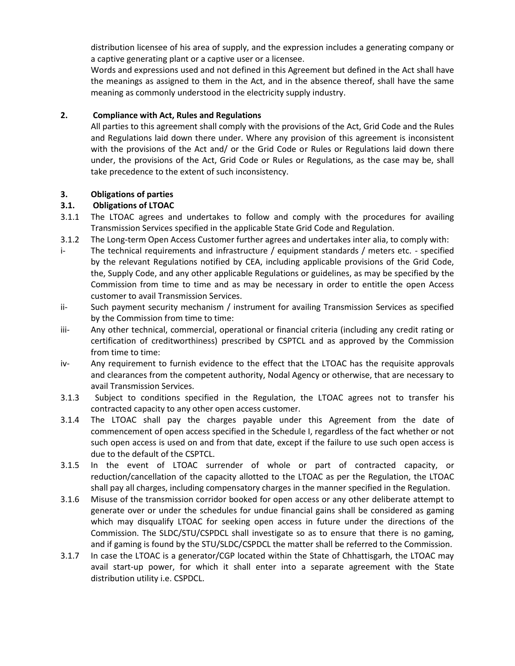distribution licensee of his area of supply, and the expression includes a generating company or a captive generating plant or a captive user or a licensee.

Words and expressions used and not defined in this Agreement but defined in the Act shall have the meanings as assigned to them in the Act, and in the absence thereof, shall have the same meaning as commonly understood in the electricity supply industry.

## **2. Compliance with Act, Rules and Regulations**

All parties to this agreement shall comply with the provisions of the Act, Grid Code and the Rules and Regulations laid down there under. Where any provision of this agreement is inconsistent with the provisions of the Act and/ or the Grid Code or Rules or Regulations laid down there under, the provisions of the Act, Grid Code or Rules or Regulations, as the case may be, shall take precedence to the extent of such inconsistency.

## **3. Obligations of parties**

## **3.1. Obligations of LTOAC**

- 3.1.1 The LTOAC agrees and undertakes to follow and comply with the procedures for availing Transmission Services specified in the applicable State Grid Code and Regulation.
- 3.1.2 The Long-term Open Access Customer further agrees and undertakes inter alia, to comply with:
- i- The technical requirements and infrastructure / equipment standards / meters etc. specified by the relevant Regulations notified by CEA, including applicable provisions of the Grid Code, the, Supply Code, and any other applicable Regulations or guidelines, as may be specified by the Commission from time to time and as may be necessary in order to entitle the open Access customer to avail Transmission Services.
- ii- Such payment security mechanism / instrument for availing Transmission Services as specified by the Commission from time to time:
- iii- Any other technical, commercial, operational or financial criteria (including any credit rating or certification of creditworthiness) prescribed by CSPTCL and as approved by the Commission from time to time:
- iv- Any requirement to furnish evidence to the effect that the LTOAC has the requisite approvals and clearances from the competent authority, Nodal Agency or otherwise, that are necessary to avail Transmission Services.
- 3.1.3 Subject to conditions specified in the Regulation, the LTOAC agrees not to transfer his contracted capacity to any other open access customer.
- 3.1.4 The LTOAC shall pay the charges payable under this Agreement from the date of commencement of open access specified in the Schedule I, regardless of the fact whether or not such open access is used on and from that date, except if the failure to use such open access is due to the default of the CSPTCL.
- 3.1.5 In the event of LTOAC surrender of whole or part of contracted capacity, or reduction/cancellation of the capacity allotted to the LTOAC as per the Regulation, the LTOAC shall pay all charges, including compensatory charges in the manner specified in the Regulation.
- 3.1.6 Misuse of the transmission corridor booked for open access or any other deliberate attempt to generate over or under the schedules for undue financial gains shall be considered as gaming which may disqualify LTOAC for seeking open access in future under the directions of the Commission. The SLDC/STU/CSPDCL shall investigate so as to ensure that there is no gaming, and if gaming is found by the STU/SLDC/CSPDCL the matter shall be referred to the Commission.
- 3.1.7 In case the LTOAC is a generator/CGP located within the State of Chhattisgarh, the LTOAC may avail start-up power, for which it shall enter into a separate agreement with the State distribution utility i.e. CSPDCL.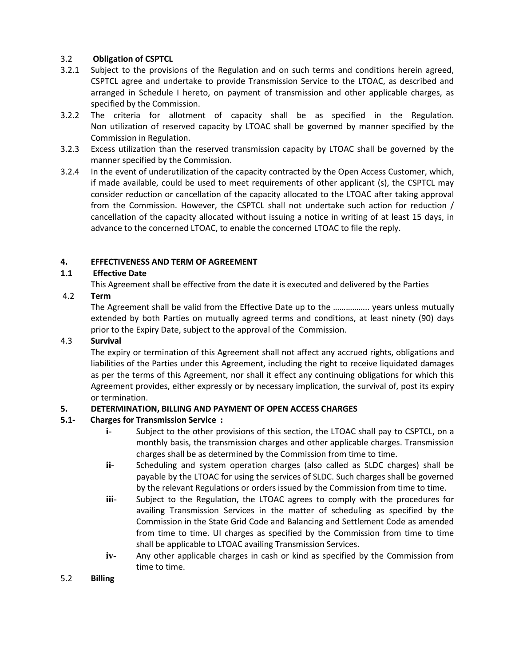## 3.2 **Obligation of CSPTCL**

- 3.2.1 Subject to the provisions of the Regulation and on such terms and conditions herein agreed, CSPTCL agree and undertake to provide Transmission Service to the LTOAC, as described and arranged in Schedule I hereto, on payment of transmission and other applicable charges, as specified by the Commission.
- 3.2.2 The criteria for allotment of capacity shall be as specified in the Regulation. Non utilization of reserved capacity by LTOAC shall be governed by manner specified by the Commission in Regulation.
- 3.2.3 Excess utilization than the reserved transmission capacity by LTOAC shall be governed by the manner specified by the Commission.
- 3.2.4 In the event of underutilization of the capacity contracted by the Open Access Customer, which, if made available, could be used to meet requirements of other applicant (s), the CSPTCL may consider reduction or cancellation of the capacity allocated to the LTOAC after taking approval from the Commission. However, the CSPTCL shall not undertake such action for reduction / cancellation of the capacity allocated without issuing a notice in writing of at least 15 days, in advance to the concerned LTOAC, to enable the concerned LTOAC to file the reply.

## **4. EFFECTIVENESS AND TERM OF AGREEMENT**

## **1.1 Effective Date**

This Agreement shall be effective from the date it is executed and delivered by the Parties

## 4.2 **Term**

The Agreement shall be valid from the Effective Date up to the …………….. years unless mutually extended by both Parties on mutually agreed terms and conditions, at least ninety (90) days prior to the Expiry Date, subject to the approval of the Commission.

#### 4.3 **Survival**

The expiry or termination of this Agreement shall not affect any accrued rights, obligations and liabilities of the Parties under this Agreement, including the right to receive liquidated damages as per the terms of this Agreement, nor shall it effect any continuing obligations for which this Agreement provides, either expressly or by necessary implication, the survival of, post its expiry or termination.

#### **5. DETERMINATION, BILLING AND PAYMENT OF OPEN ACCESS CHARGES**

## **5.1- Charges for Transmission Service :**

- **i-** Subject to the other provisions of this section, the LTOAC shall pay to CSPTCL, on a monthly basis, the transmission charges and other applicable charges. Transmission charges shall be as determined by the Commission from time to time.
- **ii-** Scheduling and system operation charges (also called as SLDC charges) shall be payable by the LTOAC for using the services of SLDC. Such charges shall be governed by the relevant Regulations or orders issued by the Commission from time to time.
- **iii-** Subject to the Regulation, the LTOAC agrees to comply with the procedures for availing Transmission Services in the matter of scheduling as specified by the Commission in the State Grid Code and Balancing and Settlement Code as amended from time to time. UI charges as specified by the Commission from time to time shall be applicable to LTOAC availing Transmission Services.
- **iv-** Any other applicable charges in cash or kind as specified by the Commission from time to time.
- 5.2 **Billing**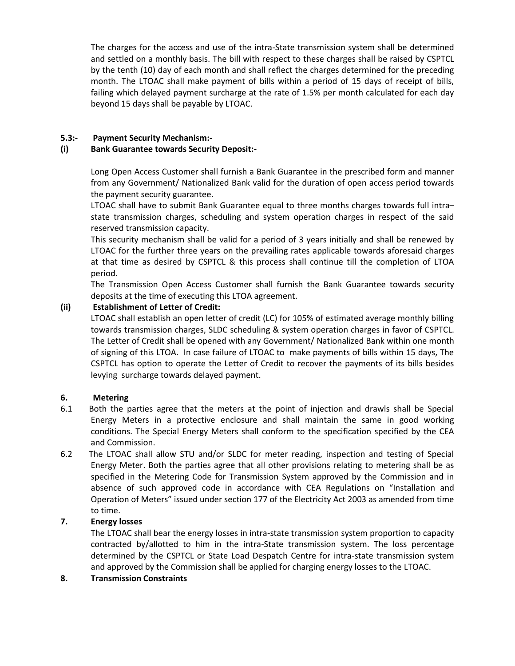The charges for the access and use of the intra-State transmission system shall be determined and settled on a monthly basis. The bill with respect to these charges shall be raised by CSPTCL by the tenth (10) day of each month and shall reflect the charges determined for the preceding month. The LTOAC shall make payment of bills within a period of 15 days of receipt of bills, failing which delayed payment surcharge at the rate of 1.5% per month calculated for each day beyond 15 days shall be payable by LTOAC.

## **5.3:- Payment Security Mechanism:-**

#### **(i) Bank Guarantee towards Security Deposit:-**

Long Open Access Customer shall furnish a Bank Guarantee in the prescribed form and manner from any Government/ Nationalized Bank valid for the duration of open access period towards the payment security guarantee.

LTOAC shall have to submit Bank Guarantee equal to three months charges towards full intra– state transmission charges, scheduling and system operation charges in respect of the said reserved transmission capacity.

This security mechanism shall be valid for a period of 3 years initially and shall be renewed by LTOAC for the further three years on the prevailing rates applicable towards aforesaid charges at that time as desired by CSPTCL & this process shall continue till the completion of LTOA period.

The Transmission Open Access Customer shall furnish the Bank Guarantee towards security deposits at the time of executing this LTOA agreement.

## **(ii) Establishment of Letter of Credit:**

LTOAC shall establish an open letter of credit (LC) for 105% of estimated average monthly billing towards transmission charges, SLDC scheduling & system operation charges in favor of CSPTCL. The Letter of Credit shall be opened with any Government/ Nationalized Bank within one month of signing of this LTOA. In case failure of LTOAC to make payments of bills within 15 days, The CSPTCL has option to operate the Letter of Credit to recover the payments of its bills besides levying surcharge towards delayed payment.

#### **6. Metering**

- 6.1 Both the parties agree that the meters at the point of injection and drawls shall be Special Energy Meters in a protective enclosure and shall maintain the same in good working conditions. The Special Energy Meters shall conform to the specification specified by the CEA and Commission.
- 6.2 The LTOAC shall allow STU and/or SLDC for meter reading, inspection and testing of Special Energy Meter. Both the parties agree that all other provisions relating to metering shall be as specified in the Metering Code for Transmission System approved by the Commission and in absence of such approved code in accordance with CEA Regulations on "Installation and Operation of Meters" issued under section 177 of the Electricity Act 2003 as amended from time to time.

#### **7. Energy losses**

The LTOAC shall bear the energy losses in intra-state transmission system proportion to capacity contracted by/allotted to him in the intra-State transmission system. The loss percentage determined by the CSPTCL or State Load Despatch Centre for intra-state transmission system and approved by the Commission shall be applied for charging energy losses to the LTOAC.

#### **8. Transmission Constraints**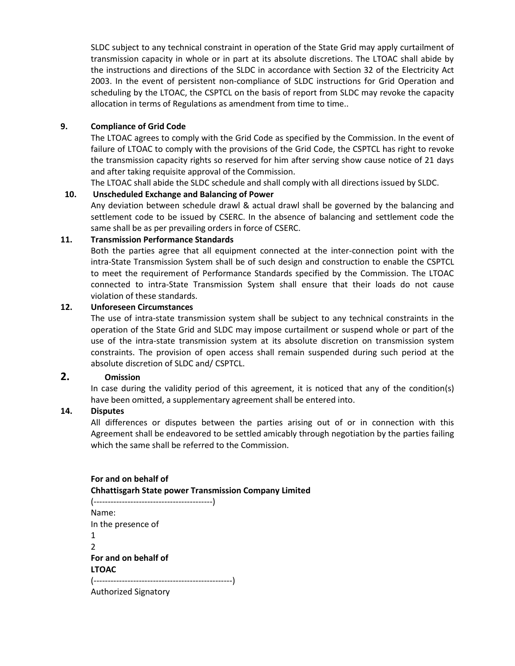SLDC subject to any technical constraint in operation of the State Grid may apply curtailment of transmission capacity in whole or in part at its absolute discretions. The LTOAC shall abide by the instructions and directions of the SLDC in accordance with Section 32 of the Electricity Act 2003. In the event of persistent non-compliance of SLDC instructions for Grid Operation and scheduling by the LTOAC, the CSPTCL on the basis of report from SLDC may revoke the capacity allocation in terms of Regulations as amendment from time to time..

#### **9. Compliance of Grid Code**

The LTOAC agrees to comply with the Grid Code as specified by the Commission. In the event of failure of LTOAC to comply with the provisions of the Grid Code, the CSPTCL has right to revoke the transmission capacity rights so reserved for him after serving show cause notice of 21 days and after taking requisite approval of the Commission.

The LTOAC shall abide the SLDC schedule and shall comply with all directions issued by SLDC.

## **10. Unscheduled Exchange and Balancing of Power**

Any deviation between schedule drawl & actual drawl shall be governed by the balancing and settlement code to be issued by CSERC. In the absence of balancing and settlement code the same shall be as per prevailing orders in force of CSERC.

#### **11. Transmission Performance Standards**

Both the parties agree that all equipment connected at the inter-connection point with the intra-State Transmission System shall be of such design and construction to enable the CSPTCL to meet the requirement of Performance Standards specified by the Commission. The LTOAC connected to intra-State Transmission System shall ensure that their loads do not cause violation of these standards.

#### **12. Unforeseen Circumstances**

The use of intra-state transmission system shall be subject to any technical constraints in the operation of the State Grid and SLDC may impose curtailment or suspend whole or part of the use of the intra-state transmission system at its absolute discretion on transmission system constraints. The provision of open access shall remain suspended during such period at the absolute discretion of SLDC and/ CSPTCL.

## **2. Omission**

In case during the validity period of this agreement, it is noticed that any of the condition(s) have been omitted, a supplementary agreement shall be entered into.

#### **14. Disputes**

All differences or disputes between the parties arising out of or in connection with this Agreement shall be endeavored to be settled amicably through negotiation by the parties failing which the same shall be referred to the Commission.

## **For and on behalf of Chhattisgarh State power Transmission Company Limited**  (------------------------------------------) Name: In the presence of 1 2 **For and on behalf of LTOAC** (-------------------------------------------------) Authorized Signatory